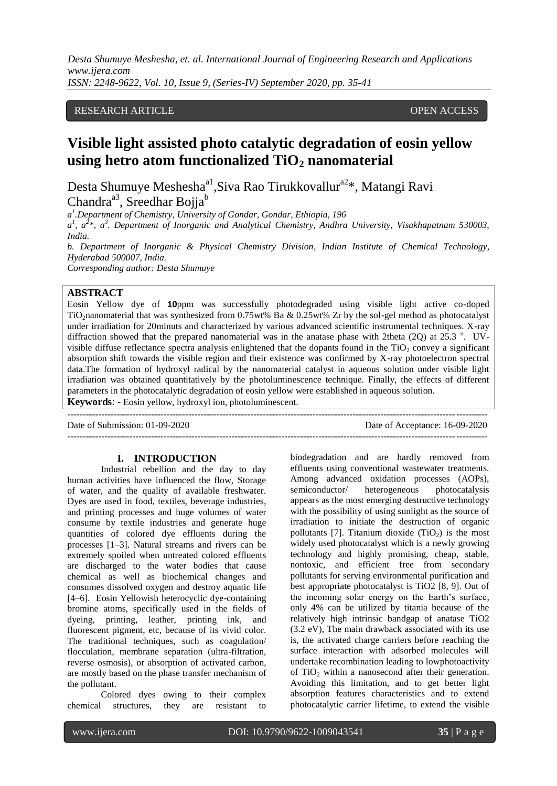*Desta Shumuye Meshesha, et. al. International Journal of Engineering Research and Applications www.ijera.com*

*ISSN: 2248-9622, Vol. 10, Issue 9, (Series-IV) September 2020, pp. 35-41*

## RESEARCH ARTICLE **CONSERVERS** OPEN ACCESS

# **Visible light assisted photo catalytic degradation of eosin yellow using hetro atom functionalized TiO<sup>2</sup> nanomaterial**

Desta Shumuye Meshesha<sup>a1</sup>, Siva Rao Tirukkovallur<sup>a2\*</sup>, Matangi Ravi Chandra<sup>a3</sup>, Sreedhar Bojja<sup>b</sup>

*a 1 .Department of Chemistry, University of Gondar, Gondar, Ethiopia, 196*

*a 1 , a 2 \*, a<sup>3</sup> . Department of Inorganic and Analytical Chemistry, Andhra University, Visakhapatnam 530003, India.*

*b. Department of Inorganic & Physical Chemistry Division, Indian Institute of Chemical Technology, Hyderabad 500007, India.*

*Corresponding author: Desta Shumuye*

## **ABSTRACT**

Eosin Yellow dye of **10**ppm was successfully photodegraded using visible light active co-doped TiO2nanomaterial that was synthesized from 0.75wt% Ba & 0.25wt% Zr by the sol-gel method as photocatalyst under irradiation for 20minuts and characterized by various advanced scientific instrumental techniques. X-ray diffraction showed that the prepared nanomaterial was in the anatase phase with 2theta (2Q) at 25.3  $\degree$ . UVvisible diffuse reflectance spectra analysis enlightened that the dopants found in the  $TiO<sub>2</sub>$  convey a significant absorption shift towards the visible region and their existence was confirmed by X-ray photoelectron spectral data.The formation of hydroxyl radical by the nanomaterial catalyst in aqueous solution under visible light irradiation was obtained quantitatively by the photoluminescence technique. Finally, the effects of different parameters in the photocatalytic degradation of eosin yellow were established in aqueous solution.

**Keywords**: - Eosin yellow, hydroxyl ion, photoluminescent.

--------------------------------------------------------------------------------------------------------------------------------------- Date of Submission: 01-09-2020 Date of Acceptance: 16-09-2020 ---------------------------------------------------------------------------------------------------------------------------------------

#### **I. INTRODUCTION**

Industrial rebellion and the day to day human activities have influenced the flow, Storage of water, and the quality of available freshwater. Dyes are used in food, textiles, beverage industries, and printing processes and huge volumes of water consume by textile industries and generate huge quantities of colored dye effluents during the processes [1–3]. Natural streams and rivers can be extremely spoiled when untreated colored effluents are discharged to the water bodies that cause chemical as well as biochemical changes and consumes dissolved oxygen and destroy aquatic life [4–6]. Eosin Yellowish heterocyclic dye-containing bromine atoms, specifically used in the fields of dyeing, printing, leather, printing ink, and fluorescent pigment, etc, because of its vivid color. The traditional techniques, such as coagulation/ flocculation, membrane separation (ultra-filtration, reverse osmosis), or absorption of activated carbon, are mostly based on the phase transfer mechanism of the pollutant.

Colored dyes owing to their complex chemical structures, they are resistant to

biodegradation and are hardly removed from effluents using conventional wastewater treatments. Among advanced oxidation processes (AOPs), semiconductor/ heterogeneous photocatalysis appears as the most emerging destructive technology with the possibility of using sunlight as the source of irradiation to initiate the destruction of organic pollutants [7]. Titanium dioxide  $(TiO<sub>2</sub>)$  is the most widely used photocatalyst which is a newly growing technology and highly promising, cheap, stable, nontoxic, and efficient free from secondary pollutants for serving environmental purification and best appropriate photocatalyst is TiO2 [8, 9]. Out of the incoming solar energy on the Earth's surface, only 4% can be utilized by titania because of the relatively high intrinsic bandgap of anatase TiO2 (3.2 eV), The main drawback associated with its use is, the activated charge carriers before reaching the surface interaction with adsorbed molecules will undertake recombination leading to lowphotoactivity of  $TiO<sub>2</sub>$  within a nanosecond after their generation. Avoiding this limitation, and to get better light absorption features characteristics and to extend photocatalytic carrier lifetime, to extend the visible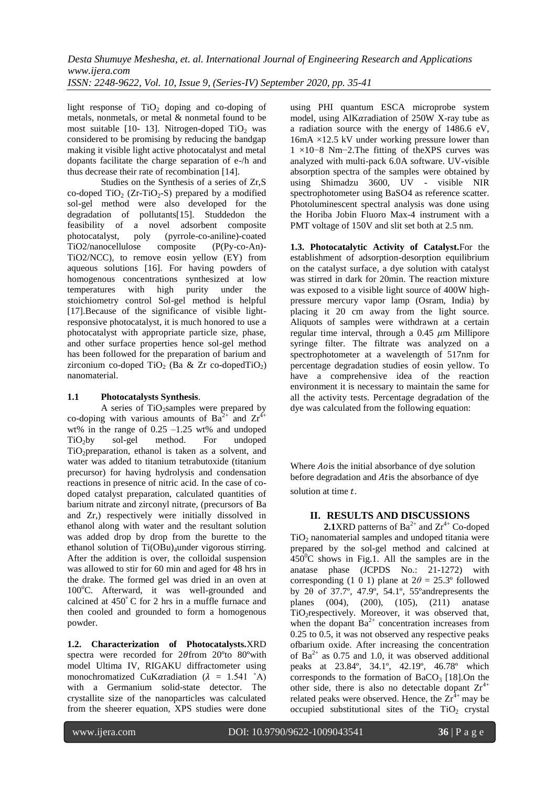light response of  $TiO<sub>2</sub>$  doping and co-doping of metals, nonmetals, or metal & nonmetal found to be most suitable  $[10-13]$ . Nitrogen-doped TiO<sub>2</sub> was considered to be promising by reducing the bandgap making it visible light active photocatalyst and metal dopants facilitate the charge separation of e-/h and thus decrease their rate of recombination [14].

Studies on the Synthesis of a series of Zr,S co-doped TiO<sub>2</sub> (Zr-TiO<sub>2</sub>-S) prepared by a modified sol-gel method were also developed for the degradation of pollutants[15]. Studdedon the feasibility of a novel adsorbent composite<br>photocatalyst, poly (pyrrole-co-aniline)-coated poly (pyrrole-co-aniline)-coated TiO2/nanocellulose composite (P(Py-co-An)- TiO2/NCC), to remove eosin yellow (EY) from aqueous solutions [16]. For having powders of homogenous concentrations synthesized at low temperatures with high purity under the stoichiometry control Sol-gel method is helpful [17].Because of the significance of visible lightresponsive photocatalyst, it is much honored to use a photocatalyst with appropriate particle size, phase, and other surface properties hence sol-gel method has been followed for the preparation of barium and zirconium co-doped TiO<sub>2</sub> (Ba & Zr co-dopedTiO<sub>2</sub>) nanomaterial.

#### **1.1 Photocatalysts Synthesis**.

A series of TiO<sub>2</sub>samples were prepared by co-doping with various amounts of  $Ba^{2+}$  and  $Zr^{4+}$ wt% in the range of  $0.25 -1.25$  wt% and undoped TiO<sub>2</sub>by sol-gel method. For undoped TiO<sub>2</sub>preparation, ethanol is taken as a solvent, and water was added to titanium tetrabutoxide (titanium precursor) for having hydrolysis and condensation reactions in presence of nitric acid. In the case of codoped catalyst preparation, calculated quantities of barium nitrate and zirconyl nitrate, (precursors of Ba and Zr,) respectively were initially dissolved in ethanol along with water and the resultant solution was added drop by drop from the burette to the ethanol solution of  $Ti(OBu)$ <sub>d</sub>under vigorous stirring. After the addition is over, the colloidal suspension was allowed to stir for 60 min and aged for 48 hrs in the drake. The formed gel was dried in an oven at 100°C. Afterward, it was well-grounded and calcined at 450<sup>∘</sup> C for 2 hrs in a muffle furnace and then cooled and grounded to form a homogenous powder.

**1.2. Characterization of Photocatalysts.**XRD spectra were recorded for  $2\theta$  from  $20^{\circ}$  to  $80^{\circ}$  with model Ultima IV, RIGAKU diffractometer using monochromatized CuKaradiation ( $\lambda = 1.541$  °A) with a Germanium solid-state detector. The crystallite size of the nanoparticles was calculated from the sheerer equation, XPS studies were done

using PHI quantum ESCA microprobe system model, using  $\overrightarrow{A}$  AlKaradiation of 250W X-ray tube as a radiation source with the energy of 1486.6 eV,  $16mA \times 12.5$  kV under working pressure lower than 1 ×10−8 Nm−2.The fitting of theXPS curves was analyzed with multi-pack 6.0A software. UV-visible absorption spectra of the samples were obtained by using Shimadzu 3600, UV - visible NIR spectrophotometer using BaSO4 as reference scatter. Photoluminescent spectral analysis was done using the Horiba Jobin Fluoro Max-4 instrument with a PMT voltage of 150V and slit set both at 2.5 nm.

**1.3. Photocatalytic Activity of Catalyst.**For the establishment of adsorption-desorption equilibrium on the catalyst surface, a dye solution with catalyst was stirred in dark for 20min. The reaction mixture was exposed to a visible light source of 400W highpressure mercury vapor lamp (Osram, India) by placing it 20 cm away from the light source. Aliquots of samples were withdrawn at a certain regular time interval, through a  $0.45 \mu m$  Millipore syringe filter. The filtrate was analyzed on a spectrophotometer at a wavelength of 517nm for percentage degradation studies of eosin yellow. To have a comprehensive idea of the reaction environment it is necessary to maintain the same for all the activity tests. Percentage degradation of the dye was calculated from the following equation:

Where *Ao* is the initial absorbance of dye solution before degradation and Atis the absorbance of dye solution at time t.

# **II. RESULTS AND DISCUSSIONS**

**2.1**XRD patterns of  $Ba^{2+}$  and  $Zr^{4+}$  Co-doped  $TiO<sub>2</sub>$  nanomaterial samples and undoped titania were prepared by the sol-gel method and calcined at  $450^{\circ}$ C shows in Fig.1. All the samples are in the anatase phase (JCPDS No.: 21-1272) with corresponding (1 0 1) plane at  $2\theta = 25.3^{\circ}$  followed by 2θ of 37.7º, 47.9º, 54.1º, 55ºandrepresents the planes (004), (200), (105), (211) anatase TiO2respectively. Moreover, it was observed that, when the dopant  $Ba^{2+}$  concentration increases from 0.25 to 0.5, it was not observed any respective peaks ofbarium oxide. After increasing the concentration of  $Ba^{2+}$  as 0.75 and 1.0, it was observed additional peaks at 23.84º, 34.1º, 42.19º, 46.78º which corresponds to the formation of  $BaCO<sub>3</sub>$  [18].On the other side, there is also no detectable dopant  $Zr^{4+}$ related peaks were observed. Hence, the  $Zr^{4+}$  may be occupied substitutional sites of the  $TiO<sub>2</sub>$  crystal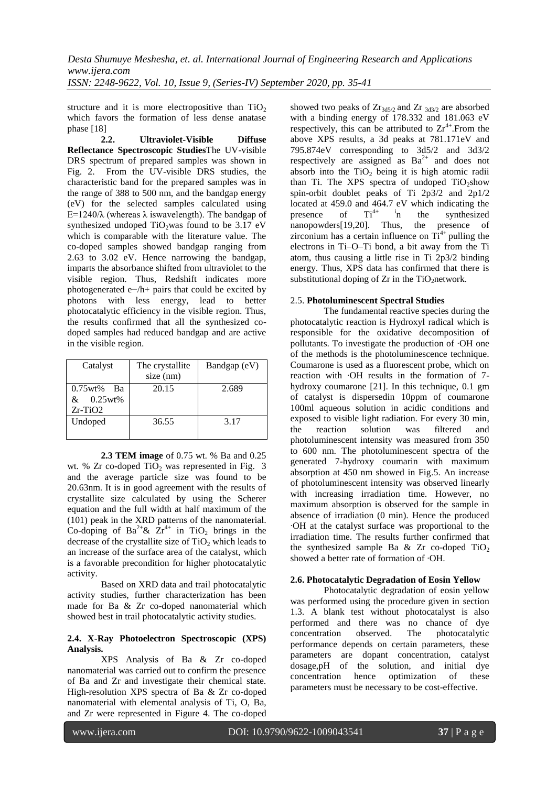structure and it is more electropositive than  $TiO<sub>2</sub>$ which favors the formation of less dense anatase phase [18]

**2.2. Ultraviolet-Visible Diffuse Reflectance Spectroscopic Studies**The UV-visible DRS spectrum of prepared samples was shown in Fig. 2. From the UV-visible DRS studies, the characteristic band for the prepared samples was in the range of 388 to 500 nm, and the bandgap energy (eV) for the selected samples calculated using E=1240/λ (whereas λ iswavelength). The bandgap of synthesized undoped  $TiO_2$  was found to be 3.17 eV which is comparable with the literature value. The co-doped samples showed bandgap ranging from 2.63 to 3.02 eV. Hence narrowing the bandgap, imparts the absorbance shifted from ultraviolet to the visible region. Thus, Redshift indicates more photogenerated e−/h+ pairs that could be excited by photons with less energy, lead to better photocatalytic efficiency in the visible region. Thus, the results confirmed that all the synthesized codoped samples had reduced bandgap and are active in the visible region.

| Catalyst                              | The crystallite<br>$size$ (nm) | Bandgap (eV) |
|---------------------------------------|--------------------------------|--------------|
| 0.75wt%<br>Bа<br>0.25wt%<br>$Zr-TiO2$ | 20.15                          | 2.689        |
| Undoped                               | 36.55                          | 3.17         |

**2.3 TEM image** of 0.75 wt. % Ba and 0.25 wt. %  $Zr$  co-doped TiO<sub>2</sub> was represented in Fig. 3 and the average particle size was found to be 20.63nm. It is in good agreement with the results of crystallite size calculated by using the Scherer equation and the full width at half maximum of the (101) peak in the XRD patterns of the nanomaterial. Co-doping of Ba<sup>2+</sup>&  $Zr^{4+}$  in TiO<sub>2</sub> brings in the decrease of the crystallite size of  $TiO<sub>2</sub>$  which leads to an increase of the surface area of the catalyst, which is a favorable precondition for higher photocatalytic activity.

Based on XRD data and trail photocatalytic activity studies, further characterization has been made for Ba & Zr co-doped nanomaterial which showed best in trail photocatalytic activity studies.

#### **2.4. X-Ray Photoelectron Spectroscopic (XPS) Analysis.**

XPS Analysis of Ba & Zr co-doped nanomaterial was carried out to confirm the presence of Ba and Zr and investigate their chemical state. High-resolution XPS spectra of Ba & Zr co-doped nanomaterial with elemental analysis of Ti, O, Ba, and Zr were represented in Figure 4. The co-doped

showed two peaks of  $Zr_{3d5/2}$  and  $Zr_{3d3/2}$  are absorbed with a binding energy of 178.332 and 181.063 eV respectively, this can be attributed to  $Zr^{4+}$ . From the above XPS results, a 3d peaks at 781.171eV and 795.874eV corresponding to 3d5/2 and 3d3/2 respectively are assigned as  $Ba^{2+}$  and does not absorb into the  $TiO<sub>2</sub>$  being it is high atomic radii than Ti. The XPS spectra of undoped  $TiO_2$ show spin-orbit doublet peaks of Ti 2p3/2 and 2p1/2 located at 459.0 and 464.7 eV which indicating the presence of  $Ti^{4+}$  in the synthesized presence of  $Ti^{4+}$  <sup>1</sup>n the synthesized nanopowders[19,20]. Thus, the presence of zirconium has a certain influence on  $Ti^{4+}$  pulling the electrons in Ti–O–Ti bond, a bit away from the Ti atom, thus causing a little rise in Ti 2p3/2 binding energy. Thus, XPS data has confirmed that there is substitutional doping of  $Zr$  in the TiO<sub>2</sub>network.

#### 2.5. **Photoluminescent Spectral Studies**

The fundamental reactive species during the photocatalytic reaction is Hydroxyl radical which is responsible for the oxidative decomposition of pollutants. To investigate the production of ∙OH one of the methods is the photoluminescence technique. Coumarone is used as a fluorescent probe, which on reaction with ∙OH results in the formation of 7 hydroxy coumarone [21]. In this technique, 0.1 gm of catalyst is dispersedin 10ppm of coumarone 100ml aqueous solution in acidic conditions and exposed to visible light radiation. For every 30 min, the reaction solution was filtered and photoluminescent intensity was measured from 350 to 600 nm. The photoluminescent spectra of the generated 7-hydroxy coumarin with maximum absorption at 450 nm showed in Fig.5. An increase of photoluminescent intensity was observed linearly with increasing irradiation time. However, no maximum absorption is observed for the sample in absence of irradiation (0 min). Hence the produced ∙OH at the catalyst surface was proportional to the irradiation time. The results further confirmed that the synthesized sample Ba & Zr co-doped  $TiO<sub>2</sub>$ showed a better rate of formation of ∙OH.

## **2.6. Photocatalytic Degradation of Eosin Yellow**

Photocatalytic degradation of eosin yellow was performed using the procedure given in section 1.3. A blank test without photocatalyst is also performed and there was no chance of dye concentration observed. The photocatalytic performance depends on certain parameters, these parameters are dopant concentration, catalyst dosage,pH of the solution, and initial dye concentration hence optimization of these parameters must be necessary to be cost-effective.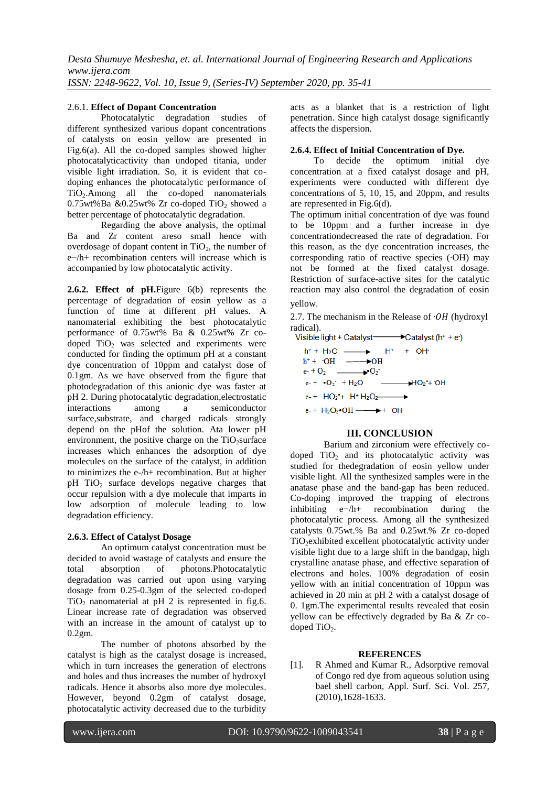#### 2.6.1. **Effect of Dopant Concentration**

Photocatalytic degradation studies of different synthesized various dopant concentrations of catalysts on eosin yellow are presented in Fig.6(a). All the co-doped samples showed higher photocatalyticactivity than undoped titania, under visible light irradiation. So, it is evident that codoping enhances the photocatalytic performance of TiO2.Among all the co-doped nanomaterials  $0.75$ wt%Ba &0.25wt% Zr co-doped TiO<sub>2</sub> showed a better percentage of photocatalytic degradation.

Regarding the above analysis, the optimal Ba and Zr content areso small hence with overdosage of dopant content in  $TiO<sub>2</sub>$ , the number of e−/h+ recombination centers will increase which is accompanied by low photocatalytic activity.

**2.6.2. Effect of pH.**Figure 6(b) represents the percentage of degradation of eosin yellow as a function of time at different pH values. A nanomaterial exhibiting the best photocatalytic performance of 0.75wt% Ba & 0.25wt% Zr codoped TiO<sub>2</sub> was selected and experiments were conducted for finding the optimum pH at a constant dye concentration of 10ppm and catalyst dose of 0.1gm. As we have observed from the figure that photodegradation of this anionic dye was faster at pH 2. During photocatalytic degradation,electrostatic interactions among a semiconductor surface,substrate, and charged radicals strongly depend on the pHof the solution. Ata lower pH environment, the positive charge on the  $TiO<sub>2</sub> surface$ increases which enhances the adsorption of dye molecules on the surface of the catalyst, in addition to minimizes the e-/h+ recombination. But at higher  $pH$  TiO<sub>2</sub> surface develops negative charges that occur repulsion with a dye molecule that imparts in low adsorption of molecule leading to low degradation efficiency.

#### **2.6.3. Effect of Catalyst Dosage**

An optimum catalyst concentration must be decided to avoid wastage of catalysts and ensure the total absorption of photons.Photocatalytic degradation was carried out upon using varying dosage from 0.25-0.3gm of the selected co-doped  $TiO<sub>2</sub>$  nanomaterial at pH 2 is represented in fig.6. Linear increase rate of degradation was observed with an increase in the amount of catalyst up to 0.2gm.

The number of photons absorbed by the catalyst is high as the catalyst dosage is increased, which in turn increases the generation of electrons and holes and thus increases the number of hydroxyl radicals. Hence it absorbs also more dye molecules. However, beyond 0.2gm of catalyst dosage, photocatalytic activity decreased due to the turbidity

acts as a blanket that is a restriction of light penetration. Since high catalyst dosage significantly affects the dispersion.

#### **2.6.4. Effect of Initial Concentration of Dye.**

 To decide the optimum initial dye concentration at a fixed catalyst dosage and pH, experiments were conducted with different dye concentrations of 5, 10, 15, and 20ppm, and results are represented in Fig.6(d).

The optimum initial concentration of dye was found to be 10ppm and a further increase in dye concentrationdecreased the rate of degradation. For this reason, as the dye concentration increases, the corresponding ratio of reactive species (∙OH) may not be formed at the fixed catalyst dosage. Restriction of surface-active sites for the catalytic reaction may also control the degradation of eosin



2.7. The mechanism in the Release of  $·OH$  (hydroxyl) radical).<br>Visible light + Catalyst—

 $\rightarrow$ Catalyst (h<sup>+</sup> + e·)  $h$ <sup>+</sup> + H<sub>2</sub>O  $\longrightarrow$  H<sup>+</sup> + OH  $h^+$  +  $\cdot$  OH  $\longrightarrow$  OH  $e<sub>1</sub> + O<sub>2</sub>$   $\longrightarrow$   $O<sub>2</sub>$  $e^- + \cdot O_2$  + H<sub>2</sub>O  $+10<sub>2</sub>$  + OH e-+ HO<sub>2</sub><sup>+</sup>+ H<sup>+</sup> H<sub>2</sub>O<sub>2</sub>- $\overline{\phantom{a}}$  $e$ - +  $H_2O_2$ • $OH \longrightarrow$  + ·OH

## **III. CONCLUSION**

Barium and zirconium were effectively codoped  $TiO<sub>2</sub>$  and its photocatalytic activity was studied for thedegradation of eosin yellow under visible light. All the synthesized samples were in the anatase phase and the band-gap has been reduced. Co-doping improved the trapping of electrons<br>inhibiting  $e^{-}/h$ + recombination during the e−/h+ recombination during the photocatalytic process. Among all the synthesized catalysts 0.75wt.% Ba and 0.25wt.% Zr co-doped TiO<sub>2</sub>exhibited excellent photocatalytic activity under visible light due to a large shift in the bandgap, high crystalline anatase phase, and effective separation of electrons and holes. 100% degradation of eosin yellow with an initial concentration of 10ppm was achieved in 20 min at pH 2 with a catalyst dosage of 0. 1gm.The experimental results revealed that eosin yellow can be effectively degraded by Ba & Zr codoped TiO<sub>2</sub>.

#### **REFERENCES**

[1]. R Ahmed and Kumar R., Adsorptive removal of Congo red dye from aqueous solution using bael shell carbon, Appl. Surf. Sci. Vol. 257, (2010),1628-1633.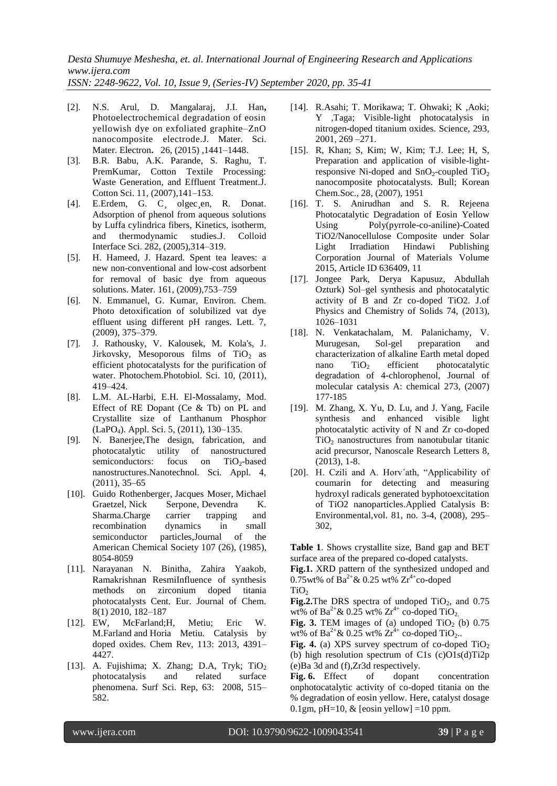- [2]. N.S. Arul, D. Mangalaraj, J.I. Han**,** Photoelectrochemical degradation of eosin yellowish dye on exfoliated graphite–ZnO nanocomposite electrode.J. Mater. Sci. Mater. Electron**.** 26, (2015) ,1441–1448.
- [3]. B.R. Babu, A.K. Parande, S. Raghu, T. PremKumar, Cotton Textile Processing: Waste Generation, and Effluent Treatment.J. Cotton Sci. 11, (2007),141–153.
- [4]. E.Erdem, G. C¸ olgec¸en, R. Donat. Adsorption of phenol from aqueous solutions by Luffa cylindrica fibers, Kinetics, isotherm, and thermodynamic studies.J. Colloid Interface Sci. 282, (2005),314–319.
- [5]. H. Hameed, J. Hazard. Spent tea leaves: a new non-conventional and low-cost adsorbent for removal of basic dye from aqueous solutions. Mater. 161, (2009),753–759
- [6]. N. Emmanuel, G. Kumar, Environ. Chem. Photo detoxification of solubilized vat dye effluent using different pH ranges. Lett. 7, (2009), 375–379.
- [7]. J. Rathousky, V. Kalousek, M. Kola's, J. Jirkovsky, Mesoporous films of  $TiO<sub>2</sub>$  as efficient photocatalysts for the purification of water. Photochem.Photobiol. Sci. 10, (2011), 419–424.
- [8]. L.M. AL-Harbi, E.H. El-Mossalamy, Mod. Effect of RE Dopant (Ce & Tb) on PL and Crystallite size of Lanthanum Phosphor (LaPO4). Appl. Sci. 5, (2011), 130–135.
- [9]. N. Banerjee,The design, fabrication, and photocatalytic utility of nanostructured semiconductors: focus on  $TiO<sub>2</sub>$ -based nanostructures.Nanotechnol. Sci. Appl. 4, (2011), 35–65
- [10]. Guido Rothenberger, Jacques Moser, Michael Graetzel, Nick Serpone, Devendra K. Sharma.Charge carrier trapping and recombination dynamics in small semiconductor particles,Journal of the American Chemical Society 107 (26), (1985), 8054-8059
- [11]. Narayanan N. Binitha, Zahira Yaakob, Ramakrishnan ResmiInfluence of synthesis methods on zirconium doped titania photocatalysts Cent. Eur. Journal of Chem. 8(1) 2010, 182–187
- [12]. EW, McFarland;H, Metiu; Eric W. M.Farland and Horia Metiu. Catalysis by doped oxides. Chem Rev, 113: 2013, 4391– 4427.
- [13]. A. Fujishima; X. Zhang; D.A, Tryk; TiO<sub>2</sub> photocatalysis and related surface phenomena. Surf Sci. Rep, 63: 2008, 515– 582.
- [14]. R.Asahi; T. Morikawa; T. Ohwaki; K ,Aoki; Y ,Taga; Visible-light photocatalysis in nitrogen-doped titanium oxides. Science, 293, 2001, 269 –271.
- [15]. R, Khan; S, Kim; W, Kim; T.J. Lee; H, S, Preparation and application of visible-lightresponsive Ni-doped and  $SnO_2$ -coupled  $TiO_2$ nanocomposite photocatalysts. Bull; Korean Chem.Soc., 28, (2007), 1951
- [16]. T. S. Anirudhan and S. R. Rejeena Photocatalytic Degradation of Eosin Yellow Using Poly(pyrrole-co-aniline)-Coated TiO2/Nanocellulose Composite under Solar Light Irradiation Hindawi Publishing Corporation Journal of Materials Volume 2015, Article ID 636409, 11
- [17]. Jongee Park, Derya Kapusuz, Abdullah Ozturk) Sol–gel synthesis and photocatalytic activity of B and Zr co-doped TiO2. J.of Physics and Chemistry of Solids 74, (2013), 1026–1031
- [18]. N. Venkatachalam, M. Palanichamy, V. Murugesan, Sol-gel preparation and characterization of alkaline Earth metal doped nano  $TiO<sub>2</sub>$  efficient photocatalytic degradation of 4-chlorophenol, Journal of molecular catalysis A: chemical 273, (2007) 177-185
- [19]. M. Zhang, X. Yu, D. Lu, and J. Yang, Facile synthesis and enhanced visible light photocatalytic activity of N and Zr co-doped  $TiO<sub>2</sub>$  nanostructures from nanotubular titanic acid precursor, Nanoscale Research Letters 8, (2013), 1-8.
- [20]. H. Czili and A. Horv´ath, "Applicability of coumarin for detecting and measuring hydroxyl radicals generated byphotoexcitation of TiO2 nanoparticles.Applied Catalysis B: Environmental,vol. 81, no. 3-4, (2008), 295– 302,

**Table 1**. Shows crystallite size, Band gap and BET surface area of the prepared co-doped catalysts.

**Fig.1.** XRD pattern of the synthesized undoped and 0.75wt% of  $Ba^{2+} & 0.25$  wt%  $Zr^{4+}$ co-doped  $TiO<sub>2</sub>$ 

**Fig.2.**The DRS spectra of undoped  $TiO<sub>2</sub>$ , and 0.75 wt% of  $Ba^{2+} & 0.25$  wt%  $Zr^{4+}$  co-doped TiO<sub>2.</sub>

**Fig.** 3. TEM images of (a) undoped  $TiO<sub>2</sub>$  (b) 0.75 wt% of Ba<sup>2+</sup>& 0.25 wt%  $Zr^{4+}$  co-doped TiO<sub>2</sub>..

**Fig. 4.** (a) XPS survey spectrum of co-doped  $TiO<sub>2</sub>$ (b) high resolution spectrum of  $C1s$  (c) $O1s(d)Ti2p$ (e)Ba 3d and (f),Zr3d respectively.

**Fig. 6.** Effect of dopant concentration onphotocatalytic activity of co-doped titania on the % degradation of eosin yellow. Here, catalyst dosage 0.1gm, pH=10,  $&$  [eosin yellow] =10 ppm.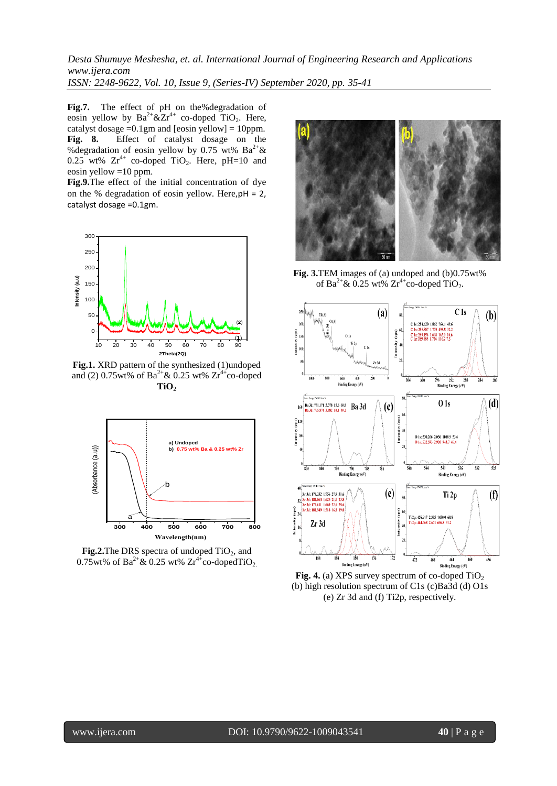**Fig.7.** The effect of pH on the%degradation of eosin yellow by  $Ba^{2+} &Zr^{4+}$  co-doped TiO<sub>2</sub>. Here, catalyst dosage =0.1gm and [eosin yellow] = 10ppm.<br>**Fig. 8.** Effect of catalyst dosage on the **Fig. 8.** Effect of catalyst dosage on the %degradation of eosin yellow by 0.75 wt%  $Ba^{2+} \&$  $0.25$  wt%  $Zr^{4+}$  co-doped TiO<sub>2</sub>. Here, pH=10 and eosin yellow  $=10$  ppm.

**Fig.9.**The effect of the initial concentration of dye on the % degradation of eosin yellow. Here,pH = 2, catalyst dosage =0.1gm.



**Fig.1.** XRD pattern of the synthesized (1)undoped and (2) 0.75wt% of  $Ba^{2+} & 0.25$  wt%  $Zr^{4+}$ co-doped  $TiO<sub>2</sub>$ 



**Fig.2.**The DRS spectra of undoped TiO<sub>2</sub>, and 0.75wt% of  $Ba^{2+} & 0.25$  wt%  $Zr^{4+}$ co-dopedTiO<sub>2</sub>.



**Fig. 3.**TEM images of (a) undoped and (b)0.75wt% of Ba<sup>2+</sup> & 0.25 wt%  $Zr^{4+}$ co-doped TiO<sub>2</sub>.



**Fig. 4.** (a) XPS survey spectrum of co-doped  $TiO<sub>2</sub>$ (b) high resolution spectrum of C1s (c)Ba3d (d) O1s (e) Zr 3d and (f) Ti2p, respectively.